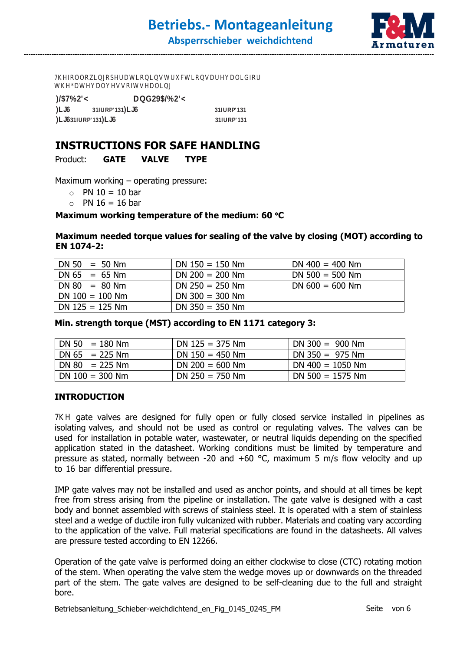7KHR**@ZL@SHDWLRQQWUKWLRQDUMQCRU** WKAW**WW**VRIWVADO

**)/\$7%2'< DQG29\$/%2'<**

**)LJ6 31 IURP'131 )LJ6 31 IURP'131 1.6**31 **1URP'131 <b>L6 1 1 1 1 1 31 1URP'131** 

**---------------------------------------------------------------------------------------------------------------------------------------------------------------------------------**

# INSTRUCTIONS FOR SAFE HANDLING

Product: GATE<sub>UVALVE</sub> TYPE

Maximum working – operating pressure:

- $\circ$  PN 10 = 10 bar
- $\circ$  PN 16 = 16 bar

# Maximum working temperature of the medium: 60 °C

#### Maximum needed torque values for sealing of the valve by closing (MOT) according to EN 1074-2:

| $DN 50 = 50 Nm$   | $DN 150 = 150 Nm$ | DN $400 = 400$ Nm |
|-------------------|-------------------|-------------------|
| $DN 65 = 65 Nm$   | $DN 200 = 200 Nm$ | $DN$ 500 = 500 Nm |
| $DN 80 = 80 Nm$   | $DN 250 = 250 Nm$ | DN $600 = 600$ Nm |
| $DN 100 = 100 Nm$ | DN $300 = 300$ Nm |                   |
| $DN$ 125 = 125 Nm | DN $350 = 350$ Nm |                   |

### Min. strength torque (MST) according to EN 1171 category 3:

| $  DN 50 = 180 Nm$                  | DN $125 = 375$ Nm | $DN 300 = 900 Nm$  |
|-------------------------------------|-------------------|--------------------|
| $1 \text{ DN } 65 = 225 \text{ Nm}$ | DN $150 = 450$ Nm | $DN 350 = 975 Nm$  |
| $1 \text{ DN } 80 = 225 \text{ Nm}$ | DN 200 = 600 Nm   | DN $400 = 1050$ Nm |
| $ $ DN 100 = 300 Nm                 | $DN 250 = 750 Nm$ | DN $500 = 1575$ Nm |

#### INTRODUCTION

 $\square$ p $\square\square\square\square$  gate valves are designed for fully open or fully closed service installed in pipelines as isolating valves, and should not be used as control or regulating valves. The valves can be used for installation in potable water, wastewater, or neutral liquids depending on the specified application stated in the datasheet. Working conditions must be limited by temperature and pressure as stated, normally between -20 and  $+60$  °C, maximum 5 m/s flow velocity and up to 16 bar differential pressure.

IMP gate valves may not be installed and used as anchor points, and should at all times be kept free from stress arising from the pipeline or installation. The gate valve is designed with a cast body and bonnet assembled with screws of stainless steel. It is operated with a stem of stainless steel and a wedge of ductile iron fully vulcanized with rubber. Materials and coating vary according to the application of the valve. Full material specifications are found in the datasheets. All valves are pressure tested according to EN 12266.

Operation of the gate valve is performed doing an either clockwise to close (CTC) rotating motion of the stem. When operating the valve stem the wedge moves up or downwards on the threaded part of the stem. The gate valves are designed to be self-cleaning due to the full and straight bore.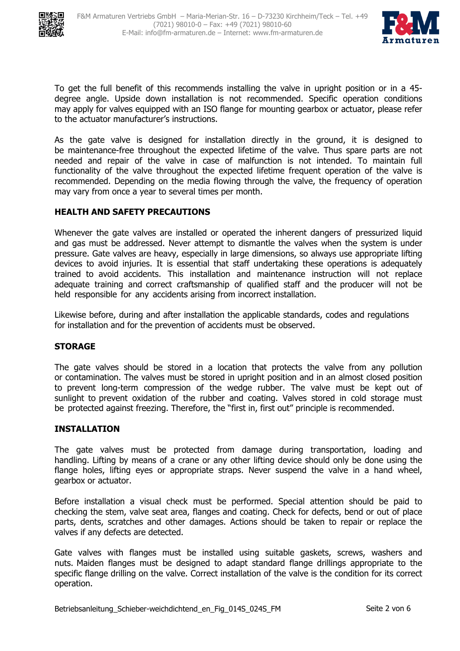



To get the full benefit of this recommends installing the valve in upright position or in a 45 degree angle. Upside down installation is not recommended. Specific operation conditions may apply for valves equipped with an ISO flange for mounting gearbox or actuator, please refer to the actuator manufacturer's instructions.

As the gate valve is designed for installation directly in the ground, it is designed to be maintenance-free throughout the expected lifetime of the valve. Thus spare parts are not needed and repair of the valve in case of malfunction is not intended. To maintain full functionality of the valve throughout the expected lifetime frequent operation of the valve is recommended. Depending on the media flowing through the valve, the frequency of operation may vary from once a year to several times per month.

# HEALTH AND SAFETY PRECAUTIONS

Whenever the gate valves are installed or operated the inherent dangers of pressurized liquid and gas must be addressed. Never attempt to dismantle the valves when the system is under pressure. Gate valves are heavy, especially in large dimensions, so always use appropriate lifting devices to avoid injuries. It is essential that staff undertaking these operations is adequately trained to avoid accidents. This installation and maintenance instruction will not replace adequate training and correct craftsmanship of qualified staff and the producer will not be held responsible for any accidents arising from incorrect installation.

Likewise before, during and after installation the applicable standards, codes and regulations for installation and for the prevention of accidents must be observed.

#### STORAGE

The gate valves should be stored in a location that protects the valve from any pollution or contamination. The valves must be stored in upright position and in an almost closed position to prevent long-term compression of the wedge rubber. The valve must be kept out of sunlight to prevent oxidation of the rubber and coating. Valves stored in cold storage must be protected against freezing. Therefore, the "first in, first out" principle is recommended.

#### INSTALLATION

The gate valves must be protected from damage during transportation, loading and handling. Lifting by means of a crane or any other lifting device should only be done using the flange holes, lifting eyes or appropriate straps. Never suspend the valve in a hand wheel, gearbox or actuator.

Before installation a visual check must be performed. Special attention should be paid to checking the stem, valve seat area, flanges and coating. Check for defects, bend or out of place parts, dents, scratches and other damages. Actions should be taken to repair or replace the valves if any defects are detected.

Gate valves with flanges must be installed using suitable gaskets, screws, washers and nuts. Maiden flanges must be designed to adapt standard flange drillings appropriate to the specific flange drilling on the valve. Correct installation of the valve is the condition for its correct operation.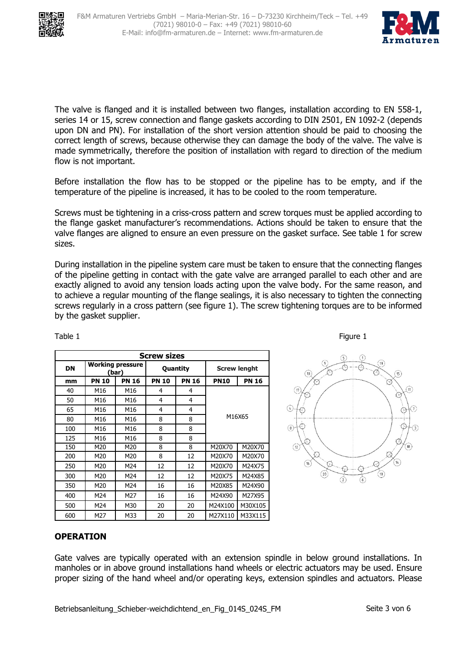



The valve is flanged and it is installed between two flanges, installation according to EN 558-1, series 14 or 15, screw connection and flange gaskets according to DIN 2501, EN 1092-2 (depends upon DN and PN). For installation of the short version attention should be paid to choosing the correct length of screws, because otherwise they can damage the body of the valve. The valve is made symmetrically, therefore the position of installation with regard to direction of the medium flow is not important.

Before installation the flow has to be stopped or the pipeline has to be empty, and if the temperature of the pipeline is increased, it has to be cooled to the room temperature.

Screws must be tightening in a criss-cross pattern and screw torques must be applied according to the flange gasket manufacturer's recommendations. Actions should be taken to ensure that the valve flanges are aligned to ensure an even pressure on the gasket surface. See table 1 for screw sizes.

During installation in the pipeline system care must be taken to ensure that the connecting flanges of the pipeline getting in contact with the gate valve are arranged parallel to each other and are exactly aligned to avoid any tension loads acting upon the valve body. For the same reason, and to achieve a regular mounting of the flange sealings, it is also necessary to tighten the connecting screws regularly in a cross pattern (see figure 1). The screw tightening torques are to be informed by the gasket supplier.

| <b>Screw sizes</b> |              |                                  |              |              |                     |              |
|--------------------|--------------|----------------------------------|--------------|--------------|---------------------|--------------|
| DN                 |              | <b>Working pressure</b><br>(bar) | Quantity     |              | <b>Screw lenght</b> |              |
| mm                 | <b>PN 10</b> | <b>PN 16</b>                     | <b>PN 10</b> | <b>PN 16</b> | <b>PN10</b>         | <b>PN 16</b> |
| 40                 | M16          | M16                              | 4            | 4            |                     |              |
| 50                 | M16          | M16                              | 4            | 4            | M16X65              |              |
| 65                 | M16          | M16                              | 4            | 4            |                     |              |
| 80                 | M16          | M16                              | 8            | 8            |                     |              |
| 100                | M16          | M16                              | 8            | 8            |                     |              |
| 125                | M16          | M16                              | 8            | 8            |                     |              |
| 150                | M20          | M20                              | 8            | 8            | M20X70              | M20X70       |
| 200                | M20          | M20                              | 8            | 12           | M20X70              | M20X70       |
| 250                | M20          | M24                              | 12           | 12           | M20X70              | M24X75       |
| 300                | M20          | M24                              | 12           | 12           | M20X75              | M24X85       |
| 350                | M20          | M24                              | 16           | 16           | M20X85              | M24X90       |
| 400                | M24          | M27                              | 16           | 16           | M24X90              | M27X95       |
| 500                | M24          | M30                              | 20           | 20           | M24X100             | M30X105      |
| 600                | M27          | M33                              | 20           | 20           | M27X110             | M33X115      |





# **OPERATION**

Gate valves are typically operated with an extension spindle in below ground installations. In manholes or in above ground installations hand wheels or electric actuators may be used. Ensure proper sizing of the hand wheel and/or operating keys, extension spindles and actuators. Please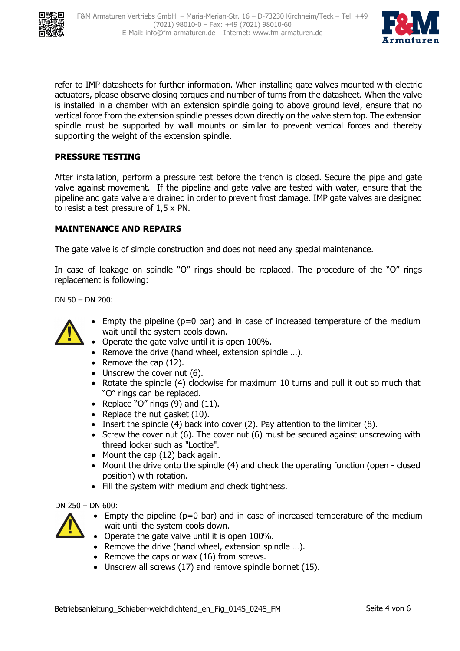



refer to IMP datasheets for further information. When installing gate valves mounted with electric actuators, please observe closing torques and number of turns from the datasheet. When the valve is installed in a chamber with an extension spindle going to above ground level, ensure that no vertical force from the extension spindle presses down directly on the valve stem top. The extension spindle must be supported by wall mounts or similar to prevent vertical forces and thereby supporting the weight of the extension spindle.

# PRESSURE TESTING

After installation, perform a pressure test before the trench is closed. Secure the pipe and gate valve against movement. If the pipeline and gate valve are tested with water, ensure that the pipeline and gate valve are drained in order to prevent frost damage. IMP gate valves are designed to resist a test pressure of 1,5 x PN.

# MAINTENANCE AND REPAIRS

The gate valve is of simple construction and does not need any special maintenance.

In case of leakage on spindle "O" rings should be replaced. The procedure of the "O" rings replacement is following:

DN 50 – DN 200:



- Empty the pipeline ( $p=0$  bar) and in case of increased temperature of the medium wait until the system cools down.
- Operate the gate valve until it is open 100%.
- Remove the drive (hand wheel, extension spindle …).
- Remove the cap (12).
- Unscrew the cover nut (6).
- Rotate the spindle (4) clockwise for maximum 10 turns and pull it out so much that "O" rings can be replaced.
- Replace "O" rings  $(9)$  and  $(11)$ .
- Replace the nut gasket (10).
- Insert the spindle (4) back into cover (2). Pay attention to the limiter (8).
- Screw the cover nut (6). The cover nut (6) must be secured against unscrewing with thread locker such as "Loctite".
- Mount the cap (12) back again.
- Mount the drive onto the spindle (4) and check the operating function (open closed position) with rotation.
- Fill the system with medium and check tightness.

DN 250 – DN 600:

- Empty the pipeline ( $p=0$  bar) and in case of increased temperature of the medium wait until the system cools down.
- Operate the gate valve until it is open 100%.
- Remove the drive (hand wheel, extension spindle ...).
- Remove the caps or wax (16) from screws.
- Unscrew all screws (17) and remove spindle bonnet (15).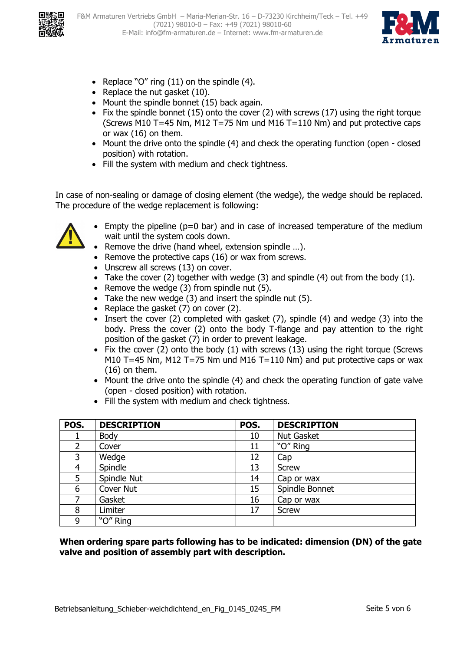



- Replace "O" ring (11) on the spindle (4).
- Replace the nut gasket (10).
- Mount the spindle bonnet (15) back again.
- Fix the spindle bonnet (15) onto the cover (2) with screws (17) using the right torque (Screws M10 T=45 Nm, M12 T=75 Nm und M16 T=110 Nm) and put protective caps or wax (16) on them.
- Mount the drive onto the spindle (4) and check the operating function (open closed position) with rotation.
- Fill the system with medium and check tightness.

In case of non-sealing or damage of closing element (the wedge), the wedge should be replaced. The procedure of the wedge replacement is following:



- Empty the pipeline ( $p=0$  bar) and in case of increased temperature of the medium wait until the system cools down.
- Remove the drive (hand wheel, extension spindle …).
- Remove the protective caps (16) or wax from screws.
- Unscrew all screws (13) on cover.
- Take the cover (2) together with wedge (3) and spindle (4) out from the body (1).
- Remove the wedge (3) from spindle nut (5).
- Take the new wedge (3) and insert the spindle nut (5).
- Replace the gasket (7) on cover (2).
- Insert the cover (2) completed with gasket (7), spindle (4) and wedge (3) into the body. Press the cover (2) onto the body T-flange and pay attention to the right position of the gasket (7) in order to prevent leakage.
- Fix the cover (2) onto the body (1) with screws (13) using the right torque (Screws M10 T=45 Nm, M12 T=75 Nm und M16 T=110 Nm) and put protective caps or wax (16) on them.
- Mount the drive onto the spindle (4) and check the operating function of gate valve (open - closed position) with rotation.
- Fill the system with medium and check tightness.

| POS. | <b>DESCRIPTION</b> | POS. | <b>DESCRIPTION</b> |
|------|--------------------|------|--------------------|
|      | Body               | 10   | <b>Nut Gasket</b>  |
|      | Cover              | 11   | "O" Ring           |
| 3    | Wedge              | 12   | Cap                |
| 4    | Spindle            | 13   | <b>Screw</b>       |
| 5    | Spindle Nut        | 14   | Cap or wax         |
| 6    | Cover Nut          | 15   | Spindle Bonnet     |
|      | Gasket             | 16   | Cap or wax         |
| 8    | Limiter            | 17   | <b>Screw</b>       |
| 9    | "O" Ring           |      |                    |

When ordering spare parts following has to be indicated: dimension (DN) of the gate valve and position of assembly part with description.